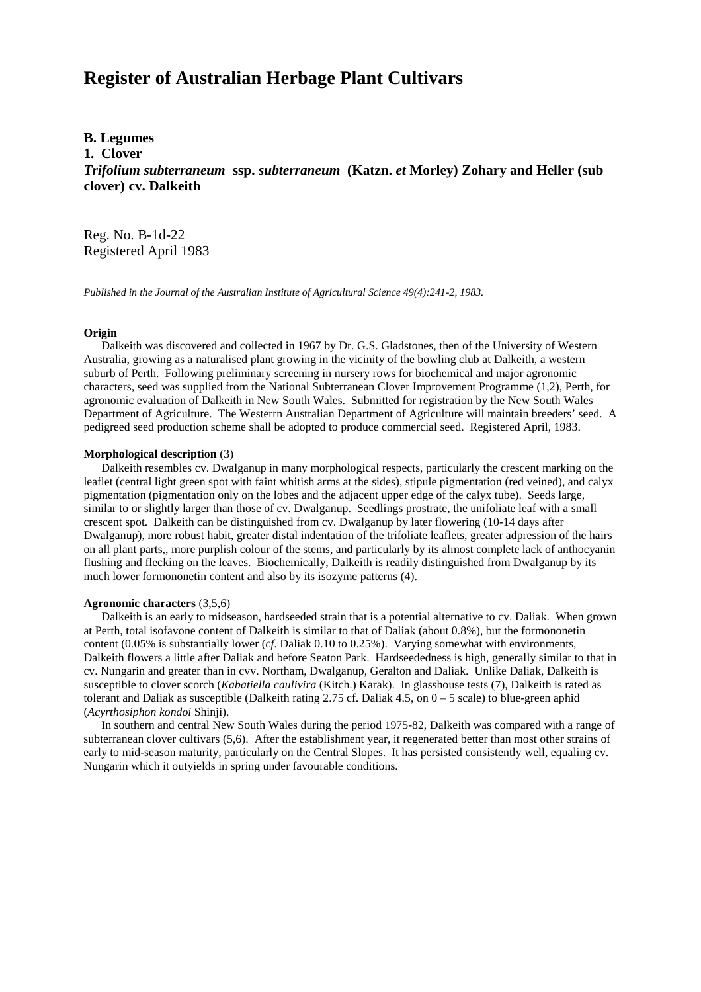# **Register of Australian Herbage Plant Cultivars**

## **B. Legumes**

**1. Clover**

*Trifolium subterraneum* **ssp.** *subterraneum* **(Katzn.** *et* **Morley) Zohary and Heller (sub clover) cv. Dalkeith**

Reg. No. B-1d-22 Registered April 1983

*Published in the Journal of the Australian Institute of Agricultural Science 49(4):241-2, 1983.*

### **Origin**

 Dalkeith was discovered and collected in 1967 by Dr. G.S. Gladstones, then of the University of Western Australia, growing as a naturalised plant growing in the vicinity of the bowling club at Dalkeith, a western suburb of Perth. Following preliminary screening in nursery rows for biochemical and major agronomic characters, seed was supplied from the National Subterranean Clover Improvement Programme (1,2), Perth, for agronomic evaluation of Dalkeith in New South Wales. Submitted for registration by the New South Wales Department of Agriculture. The Westerrn Australian Department of Agriculture will maintain breeders' seed. A pedigreed seed production scheme shall be adopted to produce commercial seed. Registered April, 1983.

#### **Morphological description** (3)

 Dalkeith resembles cv. Dwalganup in many morphological respects, particularly the crescent marking on the leaflet (central light green spot with faint whitish arms at the sides), stipule pigmentation (red veined), and calyx pigmentation (pigmentation only on the lobes and the adjacent upper edge of the calyx tube). Seeds large, similar to or slightly larger than those of cv. Dwalganup. Seedlings prostrate, the unifoliate leaf with a small crescent spot. Dalkeith can be distinguished from cv. Dwalganup by later flowering (10-14 days after Dwalganup), more robust habit, greater distal indentation of the trifoliate leaflets, greater adpression of the hairs on all plant parts,, more purplish colour of the stems, and particularly by its almost complete lack of anthocyanin flushing and flecking on the leaves. Biochemically, Dalkeith is readily distinguished from Dwalganup by its much lower formononetin content and also by its isozyme patterns (4).

#### **Agronomic characters** (3,5,6)

 Dalkeith is an early to midseason, hardseeded strain that is a potential alternative to cv. Daliak. When grown at Perth, total isofavone content of Dalkeith is similar to that of Daliak (about 0.8%), but the formononetin content (0.05% is substantially lower (*cf*. Daliak 0.10 to 0.25%). Varying somewhat with environments, Dalkeith flowers a little after Daliak and before Seaton Park. Hardseededness is high, generally similar to that in cv. Nungarin and greater than in cvv. Northam, Dwalganup, Geralton and Daliak. Unlike Daliak, Dalkeith is susceptible to clover scorch (*Kabatiella caulivira* (Kitch.) Karak). In glasshouse tests (7), Dalkeith is rated as tolerant and Daliak as susceptible (Dalkeith rating 2.75 cf. Daliak 4.5, on  $0 - 5$  scale) to blue-green aphid (*Acyrthosiphon kondoi* Shinji).

 In southern and central New South Wales during the period 1975-82, Dalkeith was compared with a range of subterranean clover cultivars (5,6). After the establishment year, it regenerated better than most other strains of early to mid-season maturity, particularly on the Central Slopes. It has persisted consistently well, equaling cv. Nungarin which it outyields in spring under favourable conditions.